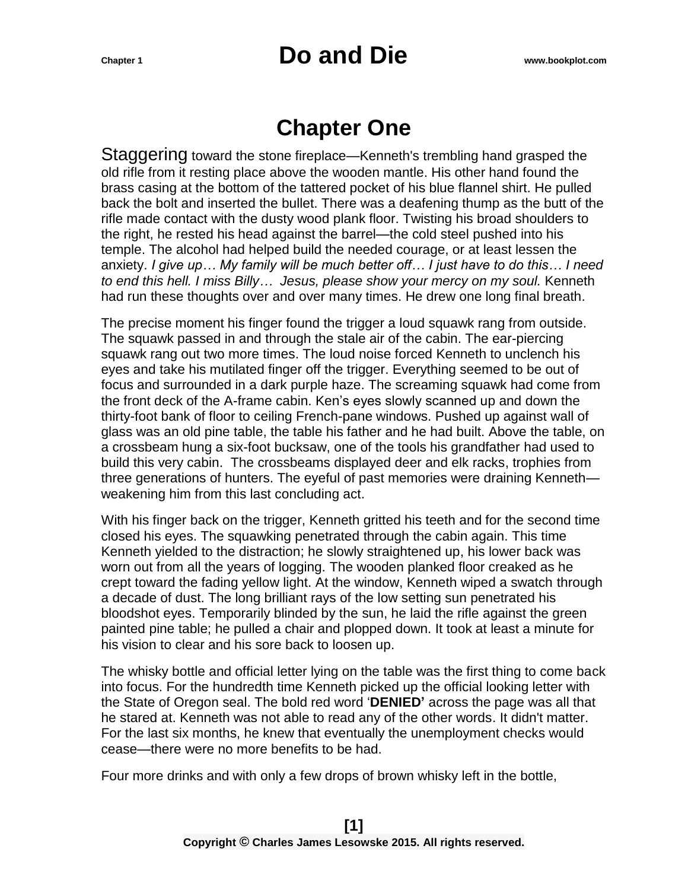#### **Chapter One**

Staggering toward the stone fireplace—Kenneth's trembling hand grasped the old rifle from it resting place above the wooden mantle. His other hand found the brass casing at the bottom of the tattered pocket of his blue flannel shirt. He pulled back the bolt and inserted the bullet. There was a deafening thump as the butt of the rifle made contact with the dusty wood plank floor. Twisting his broad shoulders to the right, he rested his head against the barrel—the cold steel pushed into his temple. The alcohol had helped build the needed courage, or at least lessen the anxiety. *I give up… My family will be much better off… I just have to do this… I need to end this hell. I miss Billy… Jesus, please show your mercy on my soul.* Kenneth had run these thoughts over and over many times. He drew one long final breath.

The precise moment his finger found the trigger a loud squawk rang from outside. The squawk passed in and through the stale air of the cabin. The ear-piercing squawk rang out two more times. The loud noise forced Kenneth to unclench his eyes and take his mutilated finger off the trigger. Everything seemed to be out of focus and surrounded in a dark purple haze. The screaming squawk had come from the front deck of the A-frame cabin. Ken's eyes slowly scanned up and down the thirty-foot bank of floor to ceiling French-pane windows. Pushed up against wall of glass was an old pine table, the table his father and he had built. Above the table, on a crossbeam hung a six-foot bucksaw, one of the tools his grandfather had used to build this very cabin. The crossbeams displayed deer and elk racks, trophies from three generations of hunters. The eyeful of past memories were draining Kenneth weakening him from this last concluding act.

With his finger back on the trigger, Kenneth gritted his teeth and for the second time closed his eyes. The squawking penetrated through the cabin again. This time Kenneth yielded to the distraction; he slowly straightened up, his lower back was worn out from all the years of logging. The wooden planked floor creaked as he crept toward the fading yellow light. At the window, Kenneth wiped a swatch through a decade of dust. The long brilliant rays of the low setting sun penetrated his bloodshot eyes. Temporarily blinded by the sun, he laid the rifle against the green painted pine table; he pulled a chair and plopped down. It took at least a minute for his vision to clear and his sore back to loosen up.

The whisky bottle and official letter lying on the table was the first thing to come back into focus. For the hundredth time Kenneth picked up the official looking letter with the State of Oregon seal. The bold red word '**DENIED'** across the page was all that he stared at. Kenneth was not able to read any of the other words. It didn't matter. For the last six months, he knew that eventually the unemployment checks would cease—there were no more benefits to be had.

Four more drinks and with only a few drops of brown whisky left in the bottle,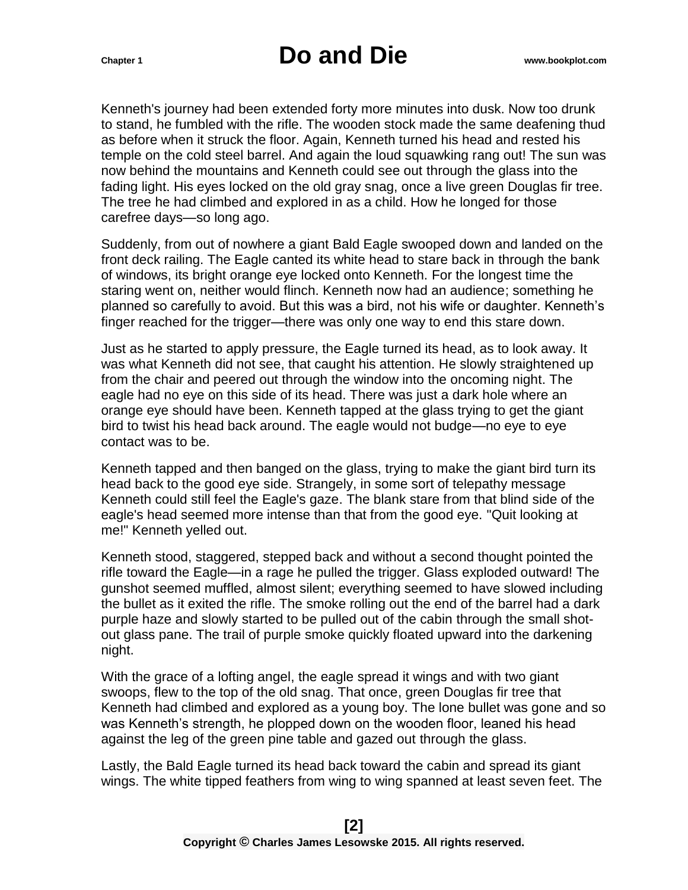Kenneth's journey had been extended forty more minutes into dusk. Now too drunk to stand, he fumbled with the rifle. The wooden stock made the same deafening thud as before when it struck the floor. Again, Kenneth turned his head and rested his temple on the cold steel barrel. And again the loud squawking rang out! The sun was now behind the mountains and Kenneth could see out through the glass into the fading light. His eyes locked on the old gray snag, once a live green Douglas fir tree. The tree he had climbed and explored in as a child. How he longed for those carefree days—so long ago.

Suddenly, from out of nowhere a giant Bald Eagle swooped down and landed on the front deck railing. The Eagle canted its white head to stare back in through the bank of windows, its bright orange eye locked onto Kenneth. For the longest time the staring went on, neither would flinch. Kenneth now had an audience; something he planned so carefully to avoid. But this was a bird, not his wife or daughter. Kenneth's finger reached for the trigger—there was only one way to end this stare down.

Just as he started to apply pressure, the Eagle turned its head, as to look away. It was what Kenneth did not see, that caught his attention. He slowly straightened up from the chair and peered out through the window into the oncoming night. The eagle had no eye on this side of its head. There was just a dark hole where an orange eye should have been. Kenneth tapped at the glass trying to get the giant bird to twist his head back around. The eagle would not budge—no eye to eye contact was to be.

Kenneth tapped and then banged on the glass, trying to make the giant bird turn its head back to the good eye side. Strangely, in some sort of telepathy message Kenneth could still feel the Eagle's gaze. The blank stare from that blind side of the eagle's head seemed more intense than that from the good eye. "Quit looking at me!" Kenneth yelled out.

Kenneth stood, staggered, stepped back and without a second thought pointed the rifle toward the Eagle—in a rage he pulled the trigger. Glass exploded outward! The gunshot seemed muffled, almost silent; everything seemed to have slowed including the bullet as it exited the rifle. The smoke rolling out the end of the barrel had a dark purple haze and slowly started to be pulled out of the cabin through the small shotout glass pane. The trail of purple smoke quickly floated upward into the darkening night.

With the grace of a lofting angel, the eagle spread it wings and with two giant swoops, flew to the top of the old snag. That once, green Douglas fir tree that Kenneth had climbed and explored as a young boy. The lone bullet was gone and so was Kenneth's strength, he plopped down on the wooden floor, leaned his head against the leg of the green pine table and gazed out through the glass.

Lastly, the Bald Eagle turned its head back toward the cabin and spread its giant wings. The white tipped feathers from wing to wing spanned at least seven feet. The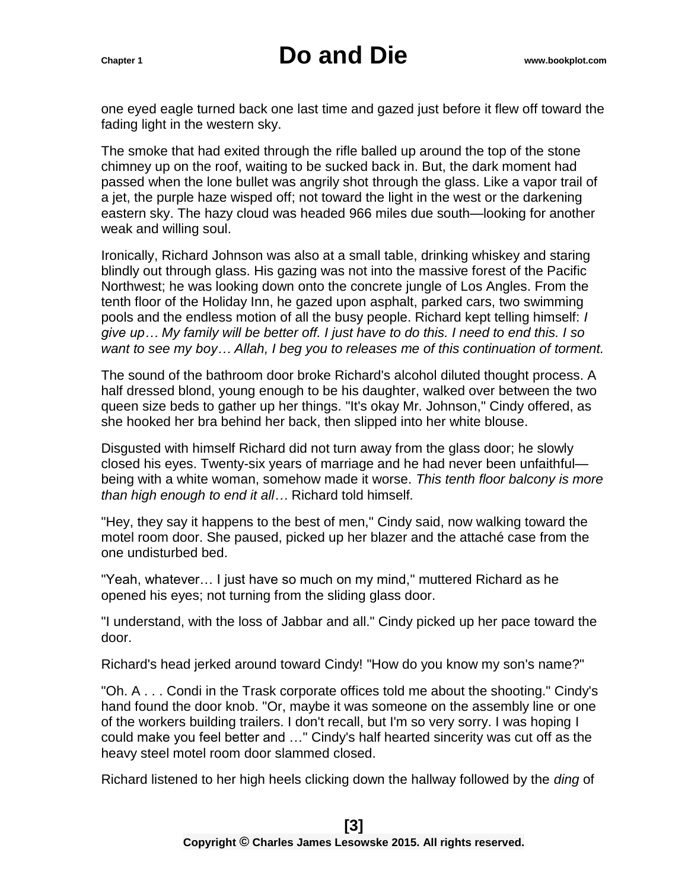one eyed eagle turned back one last time and gazed just before it flew off toward the fading light in the western sky.

The smoke that had exited through the rifle balled up around the top of the stone chimney up on the roof, waiting to be sucked back in. But, the dark moment had passed when the lone bullet was angrily shot through the glass. Like a vapor trail of a jet, the purple haze wisped off; not toward the light in the west or the darkening eastern sky. The hazy cloud was headed 966 miles due south—looking for another weak and willing soul.

Ironically, Richard Johnson was also at a small table, drinking whiskey and staring blindly out through glass. His gazing was not into the massive forest of the Pacific Northwest; he was looking down onto the concrete jungle of Los Angles. From the tenth floor of the Holiday Inn, he gazed upon asphalt, parked cars, two swimming pools and the endless motion of all the busy people. Richard kept telling himself: *I give up… My family will be better off. I just have to do this. I need to end this. I so want to see my boy… Allah, I beg you to releases me of this continuation of torment.*

The sound of the bathroom door broke Richard's alcohol diluted thought process. A half dressed blond, young enough to be his daughter, walked over between the two queen size beds to gather up her things. "It's okay Mr. Johnson," Cindy offered, as she hooked her bra behind her back, then slipped into her white blouse.

Disgusted with himself Richard did not turn away from the glass door; he slowly closed his eyes. Twenty-six years of marriage and he had never been unfaithful being with a white woman, somehow made it worse. *This tenth floor balcony is more than high enough to end it all…* Richard told himself*.*

"Hey, they say it happens to the best of men," Cindy said, now walking toward the motel room door. She paused, picked up her blazer and the attaché case from the one undisturbed bed.

"Yeah, whatever… I just have so much on my mind," muttered Richard as he opened his eyes; not turning from the sliding glass door.

"I understand, with the loss of Jabbar and all." Cindy picked up her pace toward the door.

Richard's head jerked around toward Cindy! "How do you know my son's name?"

"Oh. A . . . Condi in the Trask corporate offices told me about the shooting." Cindy's hand found the door knob. "Or, maybe it was someone on the assembly line or one of the workers building trailers. I don't recall, but I'm so very sorry. I was hoping I could make you feel better and …" Cindy's half hearted sincerity was cut off as the heavy steel motel room door slammed closed.

Richard listened to her high heels clicking down the hallway followed by the *ding* of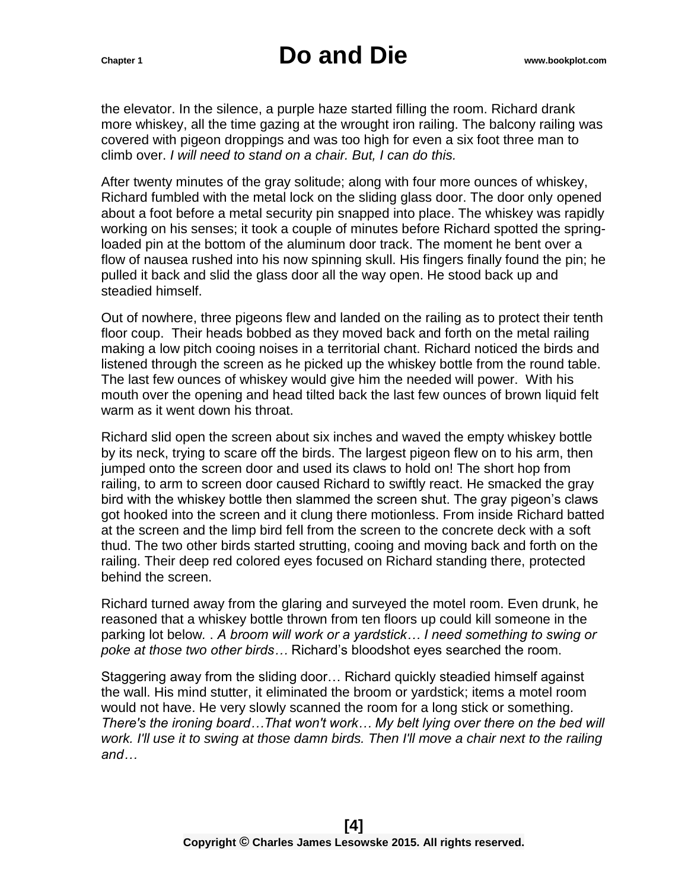the elevator. In the silence, a purple haze started filling the room. Richard drank more whiskey, all the time gazing at the wrought iron railing. The balcony railing was covered with pigeon droppings and was too high for even a six foot three man to climb over. *I will need to stand on a chair. But, I can do this.*

After twenty minutes of the gray solitude; along with four more ounces of whiskey, Richard fumbled with the metal lock on the sliding glass door. The door only opened about a foot before a metal security pin snapped into place. The whiskey was rapidly working on his senses; it took a couple of minutes before Richard spotted the springloaded pin at the bottom of the aluminum door track. The moment he bent over a flow of nausea rushed into his now spinning skull. His fingers finally found the pin; he pulled it back and slid the glass door all the way open. He stood back up and steadied himself.

Out of nowhere, three pigeons flew and landed on the railing as to protect their tenth floor coup. Their heads bobbed as they moved back and forth on the metal railing making a low pitch cooing noises in a territorial chant. Richard noticed the birds and listened through the screen as he picked up the whiskey bottle from the round table. The last few ounces of whiskey would give him the needed will power. With his mouth over the opening and head tilted back the last few ounces of brown liquid felt warm as it went down his throat.

Richard slid open the screen about six inches and waved the empty whiskey bottle by its neck, trying to scare off the birds. The largest pigeon flew on to his arm, then jumped onto the screen door and used its claws to hold on! The short hop from railing, to arm to screen door caused Richard to swiftly react. He smacked the gray bird with the whiskey bottle then slammed the screen shut. The gray pigeon's claws got hooked into the screen and it clung there motionless. From inside Richard batted at the screen and the limp bird fell from the screen to the concrete deck with a soft thud. The two other birds started strutting, cooing and moving back and forth on the railing. Their deep red colored eyes focused on Richard standing there, protected behind the screen.

Richard turned away from the glaring and surveyed the motel room. Even drunk, he reasoned that a whiskey bottle thrown from ten floors up could kill someone in the parking lot below*.* . *A broom will work or a yardstick… I need something to swing or poke at those two other birds…* Richard's bloodshot eyes searched the room.

Staggering away from the sliding door… Richard quickly steadied himself against the wall. His mind stutter, it eliminated the broom or yardstick; items a motel room would not have. He very slowly scanned the room for a long stick or something*. There's the ironing board…That won't work… My belt lying over there on the bed will work. I'll use it to swing at those damn birds. Then I'll move a chair next to the railing and…*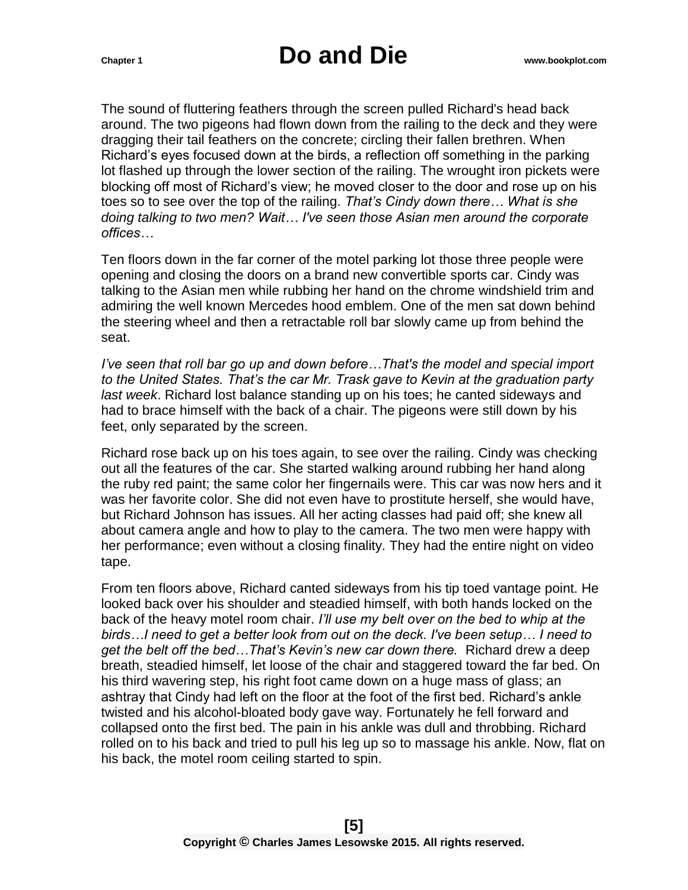The sound of fluttering feathers through the screen pulled Richard's head back around. The two pigeons had flown down from the railing to the deck and they were dragging their tail feathers on the concrete; circling their fallen brethren. When Richard's eyes focused down at the birds, a reflection off something in the parking lot flashed up through the lower section of the railing. The wrought iron pickets were blocking off most of Richard's view; he moved closer to the door and rose up on his toes so to see over the top of the railing. *That's Cindy down there… What is she doing talking to two men? Wait… I've seen those Asian men around the corporate offices…* 

Ten floors down in the far corner of the motel parking lot those three people were opening and closing the doors on a brand new convertible sports car. Cindy was talking to the Asian men while rubbing her hand on the chrome windshield trim and admiring the well known Mercedes hood emblem. One of the men sat down behind the steering wheel and then a retractable roll bar slowly came up from behind the seat.

*I've seen that roll bar go up and down before…That's the model and special import to the United States. That's the car Mr. Trask gave to Kevin at the graduation party last week*. Richard lost balance standing up on his toes; he canted sideways and had to brace himself with the back of a chair. The pigeons were still down by his feet, only separated by the screen.

Richard rose back up on his toes again, to see over the railing. Cindy was checking out all the features of the car. She started walking around rubbing her hand along the ruby red paint; the same color her fingernails were. This car was now hers and it was her favorite color. She did not even have to prostitute herself, she would have, but Richard Johnson has issues. All her acting classes had paid off; she knew all about camera angle and how to play to the camera. The two men were happy with her performance; even without a closing finality. They had the entire night on video tape.

From ten floors above, Richard canted sideways from his tip toed vantage point. He looked back over his shoulder and steadied himself, with both hands locked on the back of the heavy motel room chair. *I'll use my belt over on the bed to whip at the birds…I need to get a better look from out on the deck. I've been setup… I need to get the belt off the bed…That's Kevin's new car down there.* Richard drew a deep breath, steadied himself, let loose of the chair and staggered toward the far bed. On his third wavering step, his right foot came down on a huge mass of glass; an ashtray that Cindy had left on the floor at the foot of the first bed. Richard's ankle twisted and his alcohol-bloated body gave way. Fortunately he fell forward and collapsed onto the first bed. The pain in his ankle was dull and throbbing. Richard rolled on to his back and tried to pull his leg up so to massage his ankle. Now, flat on his back, the motel room ceiling started to spin.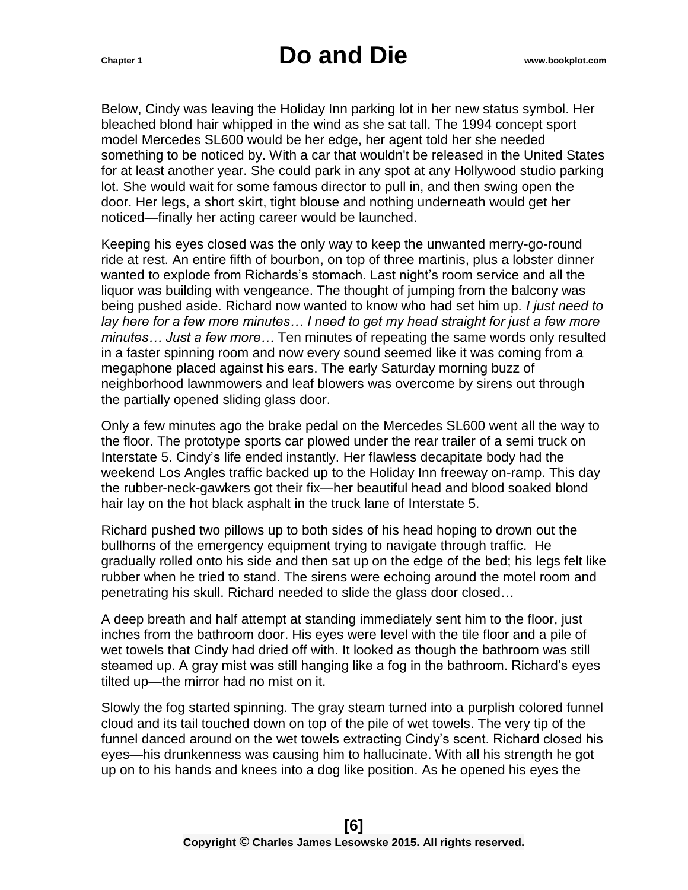Below, Cindy was leaving the Holiday Inn parking lot in her new status symbol. Her bleached blond hair whipped in the wind as she sat tall. The 1994 concept sport model Mercedes SL600 would be her edge, her agent told her she needed something to be noticed by. With a car that wouldn't be released in the United States for at least another year. She could park in any spot at any Hollywood studio parking lot. She would wait for some famous director to pull in, and then swing open the door. Her legs, a short skirt, tight blouse and nothing underneath would get her noticed—finally her acting career would be launched.

Keeping his eyes closed was the only way to keep the unwanted merry-go-round ride at rest. An entire fifth of bourbon, on top of three martinis, plus a lobster dinner wanted to explode from Richards's stomach. Last night's room service and all the liquor was building with vengeance. The thought of jumping from the balcony was being pushed aside. Richard now wanted to know who had set him up. *I just need to lay here for a few more minutes… I need to get my head straight for just a few more minutes… Just a few more…* Ten minutes of repeating the same words only resulted in a faster spinning room and now every sound seemed like it was coming from a megaphone placed against his ears. The early Saturday morning buzz of neighborhood lawnmowers and leaf blowers was overcome by sirens out through the partially opened sliding glass door.

Only a few minutes ago the brake pedal on the Mercedes SL600 went all the way to the floor. The prototype sports car plowed under the rear trailer of a semi truck on Interstate 5. Cindy's life ended instantly. Her flawless decapitate body had the weekend Los Angles traffic backed up to the Holiday Inn freeway on-ramp. This day the rubber-neck-gawkers got their fix—her beautiful head and blood soaked blond hair lay on the hot black asphalt in the truck lane of Interstate 5.

Richard pushed two pillows up to both sides of his head hoping to drown out the bullhorns of the emergency equipment trying to navigate through traffic. He gradually rolled onto his side and then sat up on the edge of the bed; his legs felt like rubber when he tried to stand. The sirens were echoing around the motel room and penetrating his skull. Richard needed to slide the glass door closed…

A deep breath and half attempt at standing immediately sent him to the floor, just inches from the bathroom door. His eyes were level with the tile floor and a pile of wet towels that Cindy had dried off with. It looked as though the bathroom was still steamed up. A gray mist was still hanging like a fog in the bathroom. Richard's eyes tilted up—the mirror had no mist on it.

Slowly the fog started spinning. The gray steam turned into a purplish colored funnel cloud and its tail touched down on top of the pile of wet towels. The very tip of the funnel danced around on the wet towels extracting Cindy's scent. Richard closed his eyes—his drunkenness was causing him to hallucinate. With all his strength he got up on to his hands and knees into a dog like position. As he opened his eyes the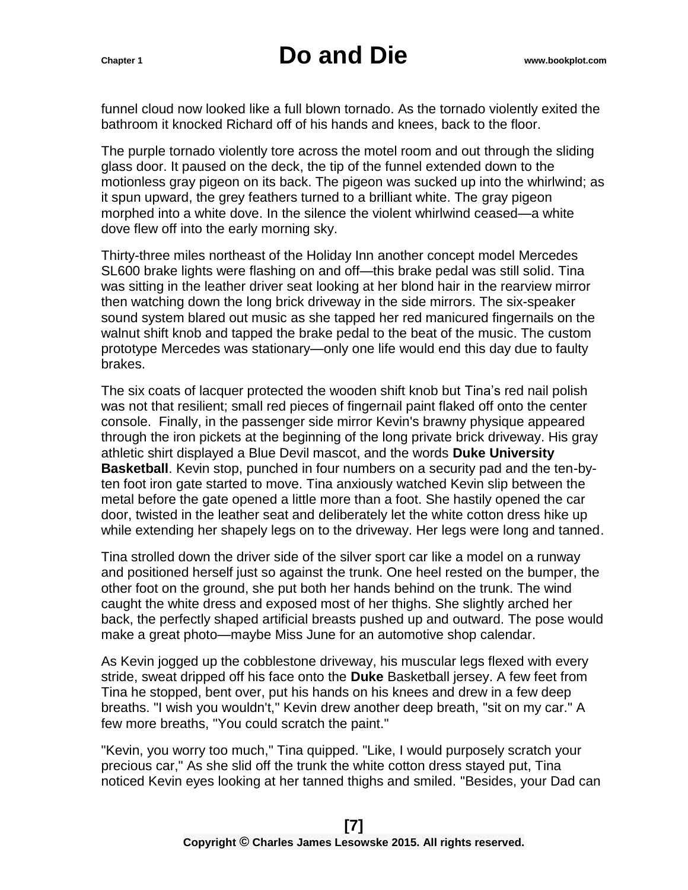funnel cloud now looked like a full blown tornado. As the tornado violently exited the bathroom it knocked Richard off of his hands and knees, back to the floor.

The purple tornado violently tore across the motel room and out through the sliding glass door. It paused on the deck, the tip of the funnel extended down to the motionless gray pigeon on its back. The pigeon was sucked up into the whirlwind; as it spun upward, the grey feathers turned to a brilliant white. The gray pigeon morphed into a white dove. In the silence the violent whirlwind ceased—a white dove flew off into the early morning sky.

Thirty-three miles northeast of the Holiday Inn another concept model Mercedes SL600 brake lights were flashing on and off—this brake pedal was still solid. Tina was sitting in the leather driver seat looking at her blond hair in the rearview mirror then watching down the long brick driveway in the side mirrors. The six-speaker sound system blared out music as she tapped her red manicured fingernails on the walnut shift knob and tapped the brake pedal to the beat of the music. The custom prototype Mercedes was stationary—only one life would end this day due to faulty brakes.

The six coats of lacquer protected the wooden shift knob but Tina's red nail polish was not that resilient; small red pieces of fingernail paint flaked off onto the center console. Finally, in the passenger side mirror Kevin's brawny physique appeared through the iron pickets at the beginning of the long private brick driveway. His gray athletic shirt displayed a Blue Devil mascot, and the words **Duke University Basketball**. Kevin stop, punched in four numbers on a security pad and the ten-byten foot iron gate started to move. Tina anxiously watched Kevin slip between the metal before the gate opened a little more than a foot. She hastily opened the car door, twisted in the leather seat and deliberately let the white cotton dress hike up while extending her shapely legs on to the driveway. Her legs were long and tanned.

Tina strolled down the driver side of the silver sport car like a model on a runway and positioned herself just so against the trunk. One heel rested on the bumper, the other foot on the ground, she put both her hands behind on the trunk. The wind caught the white dress and exposed most of her thighs. She slightly arched her back, the perfectly shaped artificial breasts pushed up and outward. The pose would make a great photo—maybe Miss June for an automotive shop calendar.

As Kevin jogged up the cobblestone driveway, his muscular legs flexed with every stride, sweat dripped off his face onto the **Duke** Basketball jersey. A few feet from Tina he stopped, bent over, put his hands on his knees and drew in a few deep breaths. "I wish you wouldn't," Kevin drew another deep breath, "sit on my car." A few more breaths, "You could scratch the paint."

"Kevin, you worry too much," Tina quipped. "Like, I would purposely scratch your precious car," As she slid off the trunk the white cotton dress stayed put, Tina noticed Kevin eyes looking at her tanned thighs and smiled. "Besides, your Dad can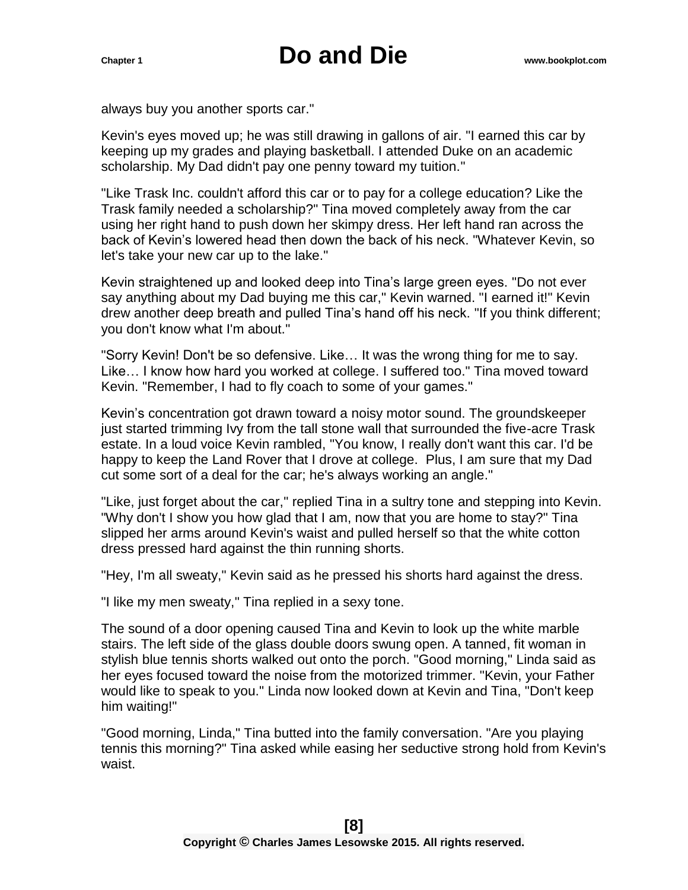always buy you another sports car."

Kevin's eyes moved up; he was still drawing in gallons of air. "I earned this car by keeping up my grades and playing basketball. I attended Duke on an academic scholarship. My Dad didn't pay one penny toward my tuition."

"Like Trask Inc. couldn't afford this car or to pay for a college education? Like the Trask family needed a scholarship?" Tina moved completely away from the car using her right hand to push down her skimpy dress. Her left hand ran across the back of Kevin's lowered head then down the back of his neck. "Whatever Kevin, so let's take your new car up to the lake."

Kevin straightened up and looked deep into Tina's large green eyes. "Do not ever say anything about my Dad buying me this car," Kevin warned. "I earned it!" Kevin drew another deep breath and pulled Tina's hand off his neck. "If you think different; you don't know what I'm about."

"Sorry Kevin! Don't be so defensive. Like… It was the wrong thing for me to say. Like… I know how hard you worked at college. I suffered too." Tina moved toward Kevin. "Remember, I had to fly coach to some of your games."

Kevin's concentration got drawn toward a noisy motor sound. The groundskeeper just started trimming Ivy from the tall stone wall that surrounded the five-acre Trask estate. In a loud voice Kevin rambled, "You know, I really don't want this car. I'd be happy to keep the Land Rover that I drove at college. Plus, I am sure that my Dad cut some sort of a deal for the car; he's always working an angle."

"Like, just forget about the car," replied Tina in a sultry tone and stepping into Kevin. "Why don't I show you how glad that I am, now that you are home to stay?" Tina slipped her arms around Kevin's waist and pulled herself so that the white cotton dress pressed hard against the thin running shorts.

"Hey, I'm all sweaty," Kevin said as he pressed his shorts hard against the dress.

"I like my men sweaty," Tina replied in a sexy tone.

The sound of a door opening caused Tina and Kevin to look up the white marble stairs. The left side of the glass double doors swung open. A tanned, fit woman in stylish blue tennis shorts walked out onto the porch. "Good morning," Linda said as her eyes focused toward the noise from the motorized trimmer. "Kevin, your Father would like to speak to you." Linda now looked down at Kevin and Tina, "Don't keep him waiting!"

"Good morning, Linda," Tina butted into the family conversation. "Are you playing tennis this morning?" Tina asked while easing her seductive strong hold from Kevin's waist.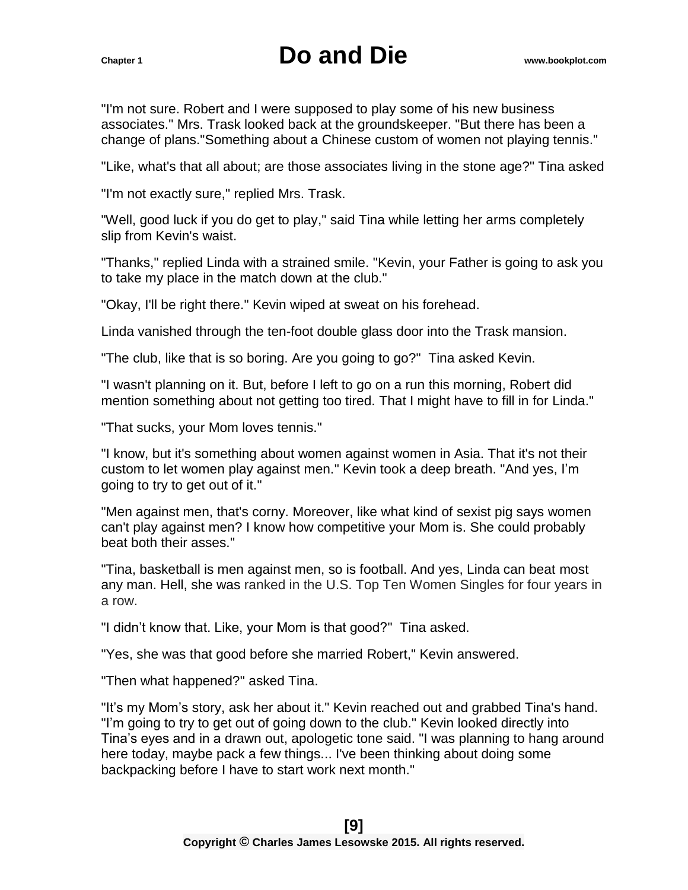"I'm not sure. Robert and I were supposed to play some of his new business associates." Mrs. Trask looked back at the groundskeeper. "But there has been a change of plans."Something about a Chinese custom of women not playing tennis."

"Like, what's that all about; are those associates living in the stone age?" Tina asked

"I'm not exactly sure," replied Mrs. Trask.

"Well, good luck if you do get to play," said Tina while letting her arms completely slip from Kevin's waist.

"Thanks," replied Linda with a strained smile. "Kevin, your Father is going to ask you to take my place in the match down at the club."

"Okay, I'll be right there." Kevin wiped at sweat on his forehead.

Linda vanished through the ten-foot double glass door into the Trask mansion.

"The club, like that is so boring. Are you going to go?" Tina asked Kevin.

"I wasn't planning on it. But, before I left to go on a run this morning, Robert did mention something about not getting too tired. That I might have to fill in for Linda."

"That sucks, your Mom loves tennis."

"I know, but it's something about women against women in Asia. That it's not their custom to let women play against men." Kevin took a deep breath. "And yes, I'm going to try to get out of it."

"Men against men, that's corny. Moreover, like what kind of sexist pig says women can't play against men? I know how competitive your Mom is. She could probably beat both their asses."

"Tina, basketball is men against men, so is football. And yes, Linda can beat most any man. Hell, she was ranked in the U.S. Top Ten Women Singles for four years in a row.

"I didn't know that. Like, your Mom is that good?" Tina asked.

"Yes, she was that good before she married Robert," Kevin answered.

"Then what happened?" asked Tina.

"It's my Mom's story, ask her about it." Kevin reached out and grabbed Tina's hand. "I'm going to try to get out of going down to the club." Kevin looked directly into Tina's eyes and in a drawn out, apologetic tone said. "I was planning to hang around here today, maybe pack a few things... I've been thinking about doing some backpacking before I have to start work next month."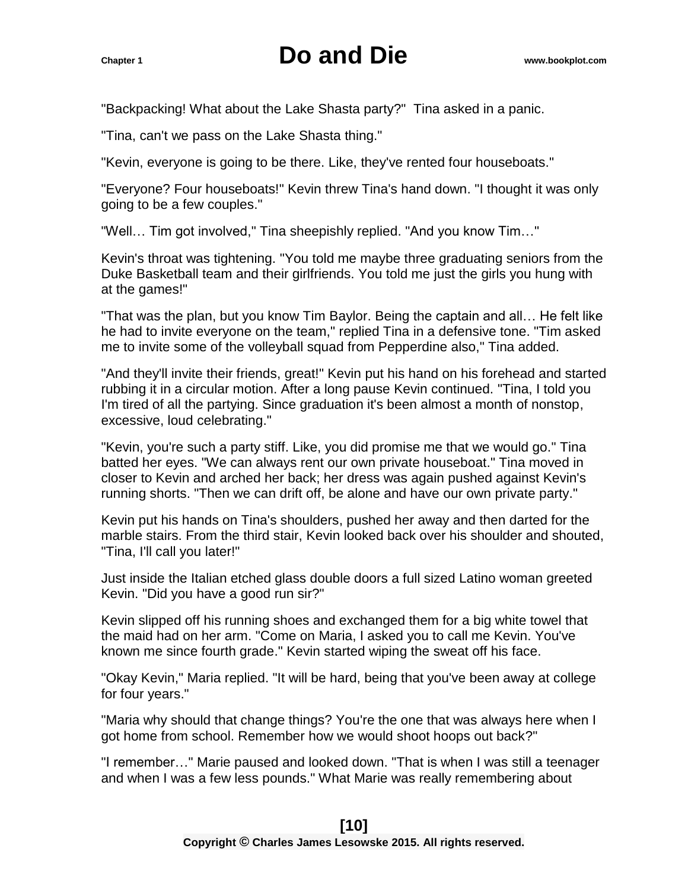"Backpacking! What about the Lake Shasta party?" Tina asked in a panic.

"Tina, can't we pass on the Lake Shasta thing."

"Kevin, everyone is going to be there. Like, they've rented four houseboats."

"Everyone? Four houseboats!" Kevin threw Tina's hand down. "I thought it was only going to be a few couples."

"Well… Tim got involved," Tina sheepishly replied. "And you know Tim…"

Kevin's throat was tightening. "You told me maybe three graduating seniors from the Duke Basketball team and their girlfriends. You told me just the girls you hung with at the games!"

"That was the plan, but you know Tim Baylor. Being the captain and all… He felt like he had to invite everyone on the team," replied Tina in a defensive tone. "Tim asked me to invite some of the volleyball squad from Pepperdine also," Tina added.

"And they'll invite their friends, great!" Kevin put his hand on his forehead and started rubbing it in a circular motion. After a long pause Kevin continued. "Tina, I told you I'm tired of all the partying. Since graduation it's been almost a month of nonstop, excessive, loud celebrating."

"Kevin, you're such a party stiff. Like, you did promise me that we would go." Tina batted her eyes. "We can always rent our own private houseboat." Tina moved in closer to Kevin and arched her back; her dress was again pushed against Kevin's running shorts. "Then we can drift off, be alone and have our own private party."

Kevin put his hands on Tina's shoulders, pushed her away and then darted for the marble stairs. From the third stair, Kevin looked back over his shoulder and shouted, "Tina, I'll call you later!"

Just inside the Italian etched glass double doors a full sized Latino woman greeted Kevin. "Did you have a good run sir?"

Kevin slipped off his running shoes and exchanged them for a big white towel that the maid had on her arm. "Come on Maria, I asked you to call me Kevin. You've known me since fourth grade." Kevin started wiping the sweat off his face.

"Okay Kevin," Maria replied. "It will be hard, being that you've been away at college for four years."

"Maria why should that change things? You're the one that was always here when I got home from school. Remember how we would shoot hoops out back?"

"I remember…" Marie paused and looked down. "That is when I was still a teenager and when I was a few less pounds." What Marie was really remembering about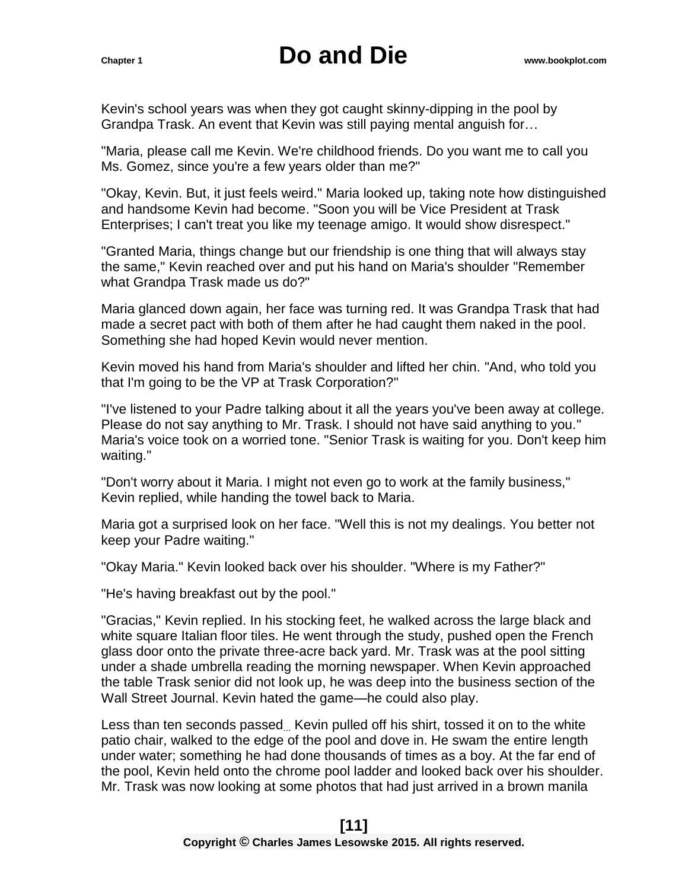Kevin's school years was when they got caught skinny-dipping in the pool by Grandpa Trask. An event that Kevin was still paying mental anguish for…

"Maria, please call me Kevin. We're childhood friends. Do you want me to call you Ms. Gomez, since you're a few years older than me?"

"Okay, Kevin. But, it just feels weird." Maria looked up, taking note how distinguished and handsome Kevin had become. "Soon you will be Vice President at Trask Enterprises; I can't treat you like my teenage amigo. It would show disrespect."

"Granted Maria, things change but our friendship is one thing that will always stay the same," Kevin reached over and put his hand on Maria's shoulder "Remember what Grandpa Trask made us do?"

Maria glanced down again, her face was turning red. It was Grandpa Trask that had made a secret pact with both of them after he had caught them naked in the pool. Something she had hoped Kevin would never mention.

Kevin moved his hand from Maria's shoulder and lifted her chin. "And, who told you that I'm going to be the VP at Trask Corporation?"

"I've listened to your Padre talking about it all the years you've been away at college. Please do not say anything to Mr. Trask. I should not have said anything to you." Maria's voice took on a worried tone. "Senior Trask is waiting for you. Don't keep him waiting."

"Don't worry about it Maria. I might not even go to work at the family business," Kevin replied, while handing the towel back to Maria.

Maria got a surprised look on her face. "Well this is not my dealings. You better not keep your Padre waiting."

"Okay Maria." Kevin looked back over his shoulder. "Where is my Father?"

"He's having breakfast out by the pool."

"Gracias," Kevin replied. In his stocking feet, he walked across the large black and white square Italian floor tiles. He went through the study, pushed open the French glass door onto the private three-acre back yard. Mr. Trask was at the pool sitting under a shade umbrella reading the morning newspaper. When Kevin approached the table Trask senior did not look up, he was deep into the business section of the Wall Street Journal. Kevin hated the game—he could also play.

Less than ten seconds passed Kevin pulled off his shirt, tossed it on to the white patio chair, walked to the edge of the pool and dove in. He swam the entire length under water; something he had done thousands of times as a boy. At the far end of the pool, Kevin held onto the chrome pool ladder and looked back over his shoulder. Mr. Trask was now looking at some photos that had just arrived in a brown manila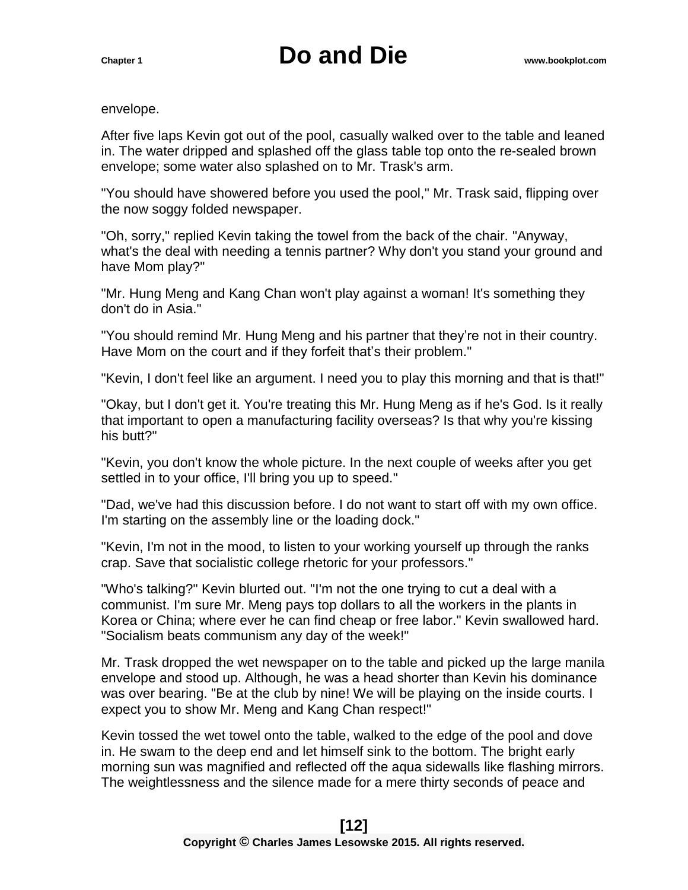envelope.

After five laps Kevin got out of the pool, casually walked over to the table and leaned in. The water dripped and splashed off the glass table top onto the re-sealed brown envelope; some water also splashed on to Mr. Trask's arm.

"You should have showered before you used the pool," Mr. Trask said, flipping over the now soggy folded newspaper.

"Oh, sorry," replied Kevin taking the towel from the back of the chair. "Anyway, what's the deal with needing a tennis partner? Why don't you stand your ground and have Mom play?"

"Mr. Hung Meng and Kang Chan won't play against a woman! It's something they don't do in Asia."

"You should remind Mr. Hung Meng and his partner that they're not in their country. Have Mom on the court and if they forfeit that's their problem."

"Kevin, I don't feel like an argument. I need you to play this morning and that is that!"

"Okay, but I don't get it. You're treating this Mr. Hung Meng as if he's God. Is it really that important to open a manufacturing facility overseas? Is that why you're kissing his butt?"

"Kevin, you don't know the whole picture. In the next couple of weeks after you get settled in to your office, I'll bring you up to speed."

"Dad, we've had this discussion before. I do not want to start off with my own office. I'm starting on the assembly line or the loading dock."

"Kevin, I'm not in the mood, to listen to your working yourself up through the ranks crap. Save that socialistic college rhetoric for your professors."

"Who's talking?" Kevin blurted out. "I'm not the one trying to cut a deal with a communist. I'm sure Mr. Meng pays top dollars to all the workers in the plants in Korea or China; where ever he can find cheap or free labor." Kevin swallowed hard. "Socialism beats communism any day of the week!"

Mr. Trask dropped the wet newspaper on to the table and picked up the large manila envelope and stood up. Although, he was a head shorter than Kevin his dominance was over bearing. "Be at the club by nine! We will be playing on the inside courts. I expect you to show Mr. Meng and Kang Chan respect!"

Kevin tossed the wet towel onto the table, walked to the edge of the pool and dove in. He swam to the deep end and let himself sink to the bottom. The bright early morning sun was magnified and reflected off the aqua sidewalls like flashing mirrors. The weightlessness and the silence made for a mere thirty seconds of peace and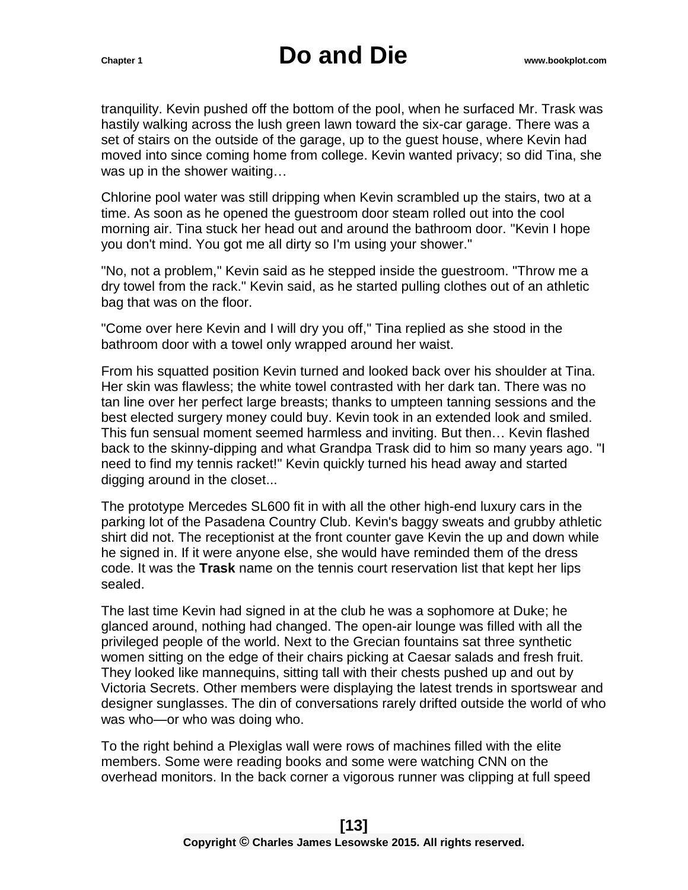tranquility. Kevin pushed off the bottom of the pool, when he surfaced Mr. Trask was hastily walking across the lush green lawn toward the six-car garage. There was a set of stairs on the outside of the garage, up to the guest house, where Kevin had moved into since coming home from college. Kevin wanted privacy; so did Tina, she was up in the shower waiting…

Chlorine pool water was still dripping when Kevin scrambled up the stairs, two at a time. As soon as he opened the guestroom door steam rolled out into the cool morning air. Tina stuck her head out and around the bathroom door. "Kevin I hope you don't mind. You got me all dirty so I'm using your shower."

"No, not a problem," Kevin said as he stepped inside the guestroom. "Throw me a dry towel from the rack." Kevin said, as he started pulling clothes out of an athletic bag that was on the floor.

"Come over here Kevin and I will dry you off," Tina replied as she stood in the bathroom door with a towel only wrapped around her waist.

From his squatted position Kevin turned and looked back over his shoulder at Tina. Her skin was flawless; the white towel contrasted with her dark tan. There was no tan line over her perfect large breasts; thanks to umpteen tanning sessions and the best elected surgery money could buy. Kevin took in an extended look and smiled. This fun sensual moment seemed harmless and inviting. But then… Kevin flashed back to the skinny-dipping and what Grandpa Trask did to him so many years ago. "I need to find my tennis racket!" Kevin quickly turned his head away and started digging around in the closet...

The prototype Mercedes SL600 fit in with all the other high-end luxury cars in the parking lot of the Pasadena Country Club. Kevin's baggy sweats and grubby athletic shirt did not. The receptionist at the front counter gave Kevin the up and down while he signed in. If it were anyone else, she would have reminded them of the dress code. It was the **Trask** name on the tennis court reservation list that kept her lips sealed.

The last time Kevin had signed in at the club he was a sophomore at Duke; he glanced around, nothing had changed. The open-air lounge was filled with all the privileged people of the world. Next to the Grecian fountains sat three synthetic women sitting on the edge of their chairs picking at Caesar salads and fresh fruit. They looked like mannequins, sitting tall with their chests pushed up and out by Victoria Secrets. Other members were displaying the latest trends in sportswear and designer sunglasses. The din of conversations rarely drifted outside the world of who was who—or who was doing who.

To the right behind a Plexiglas wall were rows of machines filled with the elite members. Some were reading books and some were watching CNN on the overhead monitors. In the back corner a vigorous runner was clipping at full speed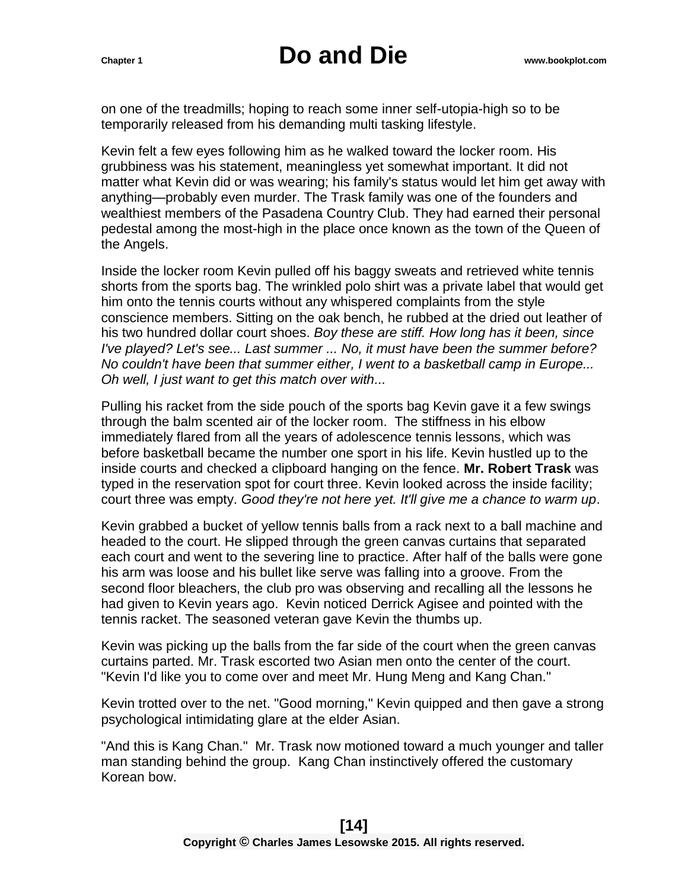on one of the treadmills; hoping to reach some inner self-utopia-high so to be temporarily released from his demanding multi tasking lifestyle.

Kevin felt a few eyes following him as he walked toward the locker room. His grubbiness was his statement, meaningless yet somewhat important. It did not matter what Kevin did or was wearing; his family's status would let him get away with anything—probably even murder. The Trask family was one of the founders and wealthiest members of the Pasadena Country Club. They had earned their personal pedestal among the most-high in the place once known as the town of the Queen of the Angels.

Inside the locker room Kevin pulled off his baggy sweats and retrieved white tennis shorts from the sports bag. The wrinkled polo shirt was a private label that would get him onto the tennis courts without any whispered complaints from the style conscience members. Sitting on the oak bench, he rubbed at the dried out leather of his two hundred dollar court shoes. *Boy these are stiff. How long has it been, since I've played? Let's see... Last summer ... No, it must have been the summer before? No couldn't have been that summer either, I went to a basketball camp in Europe... Oh well, I just want to get this match over with...* 

Pulling his racket from the side pouch of the sports bag Kevin gave it a few swings through the balm scented air of the locker room. The stiffness in his elbow immediately flared from all the years of adolescence tennis lessons, which was before basketball became the number one sport in his life. Kevin hustled up to the inside courts and checked a clipboard hanging on the fence. **Mr. Robert Trask** was typed in the reservation spot for court three. Kevin looked across the inside facility; court three was empty. *Good they're not here yet. It'll give me a chance to warm up*.

Kevin grabbed a bucket of yellow tennis balls from a rack next to a ball machine and headed to the court. He slipped through the green canvas curtains that separated each court and went to the severing line to practice. After half of the balls were gone his arm was loose and his bullet like serve was falling into a groove. From the second floor bleachers, the club pro was observing and recalling all the lessons he had given to Kevin years ago. Kevin noticed Derrick Agisee and pointed with the tennis racket. The seasoned veteran gave Kevin the thumbs up.

Kevin was picking up the balls from the far side of the court when the green canvas curtains parted. Mr. Trask escorted two Asian men onto the center of the court. "Kevin I'd like you to come over and meet Mr. Hung Meng and Kang Chan."

Kevin trotted over to the net. "Good morning," Kevin quipped and then gave a strong psychological intimidating glare at the elder Asian.

"And this is Kang Chan." Mr. Trask now motioned toward a much younger and taller man standing behind the group. Kang Chan instinctively offered the customary Korean bow.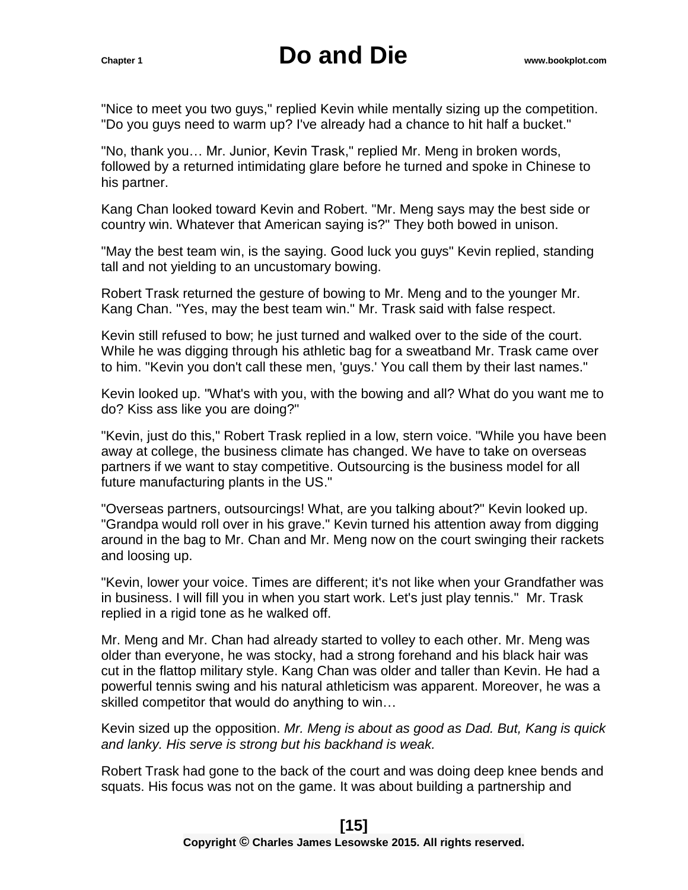"Nice to meet you two guys," replied Kevin while mentally sizing up the competition. "Do you guys need to warm up? I've already had a chance to hit half a bucket."

"No, thank you… Mr. Junior, Kevin Trask," replied Mr. Meng in broken words, followed by a returned intimidating glare before he turned and spoke in Chinese to his partner.

Kang Chan looked toward Kevin and Robert. "Mr. Meng says may the best side or country win. Whatever that American saying is?" They both bowed in unison.

"May the best team win, is the saying. Good luck you guys" Kevin replied, standing tall and not yielding to an uncustomary bowing.

Robert Trask returned the gesture of bowing to Mr. Meng and to the younger Mr. Kang Chan. "Yes, may the best team win." Mr. Trask said with false respect.

Kevin still refused to bow; he just turned and walked over to the side of the court. While he was digging through his athletic bag for a sweatband Mr. Trask came over to him. "Kevin you don't call these men, 'guys.' You call them by their last names."

Kevin looked up. "What's with you, with the bowing and all? What do you want me to do? Kiss ass like you are doing?"

"Kevin, just do this," Robert Trask replied in a low, stern voice. "While you have been away at college, the business climate has changed. We have to take on overseas partners if we want to stay competitive. Outsourcing is the business model for all future manufacturing plants in the US."

"Overseas partners, outsourcings! What, are you talking about?" Kevin looked up. "Grandpa would roll over in his grave." Kevin turned his attention away from digging around in the bag to Mr. Chan and Mr. Meng now on the court swinging their rackets and loosing up.

"Kevin, lower your voice. Times are different; it's not like when your Grandfather was in business. I will fill you in when you start work. Let's just play tennis." Mr. Trask replied in a rigid tone as he walked off.

Mr. Meng and Mr. Chan had already started to volley to each other. Mr. Meng was older than everyone, he was stocky, had a strong forehand and his black hair was cut in the flattop military style. Kang Chan was older and taller than Kevin. He had a powerful tennis swing and his natural athleticism was apparent. Moreover, he was a skilled competitor that would do anything to win…

Kevin sized up the opposition. *Mr. Meng is about as good as Dad. But, Kang is quick and lanky. His serve is strong but his backhand is weak.* 

Robert Trask had gone to the back of the court and was doing deep knee bends and squats. His focus was not on the game. It was about building a partnership and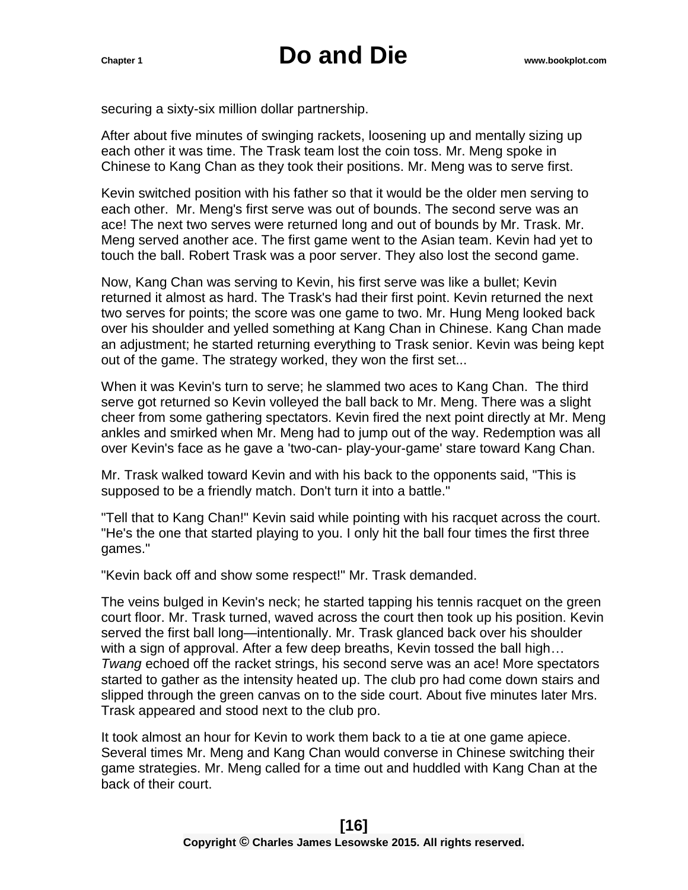securing a sixty-six million dollar partnership.

After about five minutes of swinging rackets, loosening up and mentally sizing up each other it was time. The Trask team lost the coin toss. Mr. Meng spoke in Chinese to Kang Chan as they took their positions. Mr. Meng was to serve first.

Kevin switched position with his father so that it would be the older men serving to each other. Mr. Meng's first serve was out of bounds. The second serve was an ace! The next two serves were returned long and out of bounds by Mr. Trask. Mr. Meng served another ace. The first game went to the Asian team. Kevin had yet to touch the ball. Robert Trask was a poor server. They also lost the second game.

Now, Kang Chan was serving to Kevin, his first serve was like a bullet; Kevin returned it almost as hard. The Trask's had their first point. Kevin returned the next two serves for points; the score was one game to two. Mr. Hung Meng looked back over his shoulder and yelled something at Kang Chan in Chinese. Kang Chan made an adjustment; he started returning everything to Trask senior. Kevin was being kept out of the game. The strategy worked, they won the first set...

When it was Kevin's turn to serve; he slammed two aces to Kang Chan. The third serve got returned so Kevin volleyed the ball back to Mr. Meng. There was a slight cheer from some gathering spectators. Kevin fired the next point directly at Mr. Meng ankles and smirked when Mr. Meng had to jump out of the way. Redemption was all over Kevin's face as he gave a 'two-can- play-your-game' stare toward Kang Chan.

Mr. Trask walked toward Kevin and with his back to the opponents said, "This is supposed to be a friendly match. Don't turn it into a battle."

"Tell that to Kang Chan!" Kevin said while pointing with his racquet across the court. "He's the one that started playing to you. I only hit the ball four times the first three games."

"Kevin back off and show some respect!" Mr. Trask demanded.

The veins bulged in Kevin's neck; he started tapping his tennis racquet on the green court floor. Mr. Trask turned, waved across the court then took up his position. Kevin served the first ball long—intentionally. Mr. Trask glanced back over his shoulder with a sign of approval. After a few deep breaths, Kevin tossed the ball high… *Twang* echoed off the racket strings, his second serve was an ace! More spectators started to gather as the intensity heated up. The club pro had come down stairs and slipped through the green canvas on to the side court. About five minutes later Mrs. Trask appeared and stood next to the club pro.

It took almost an hour for Kevin to work them back to a tie at one game apiece. Several times Mr. Meng and Kang Chan would converse in Chinese switching their game strategies. Mr. Meng called for a time out and huddled with Kang Chan at the back of their court.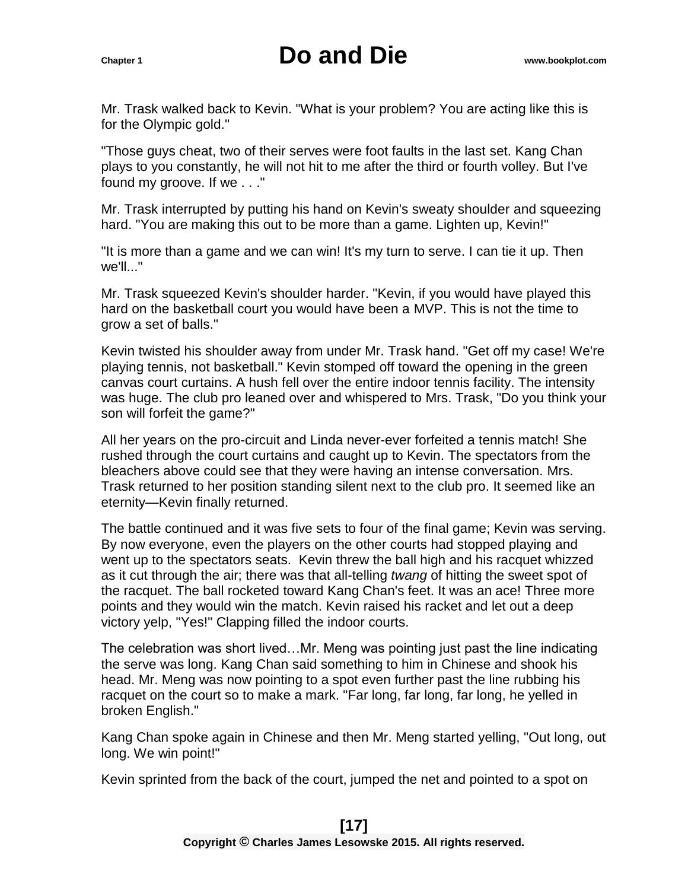Mr. Trask walked back to Kevin. "What is your problem? You are acting like this is for the Olympic gold."

"Those guys cheat, two of their serves were foot faults in the last set. Kang Chan plays to you constantly, he will not hit to me after the third or fourth volley. But I've found my groove. If we . . ."

Mr. Trask interrupted by putting his hand on Kevin's sweaty shoulder and squeezing hard. "You are making this out to be more than a game. Lighten up, Kevin!"

"It is more than a game and we can win! It's my turn to serve. I can tie it up. Then we'll..."

Mr. Trask squeezed Kevin's shoulder harder. "Kevin, if you would have played this hard on the basketball court you would have been a MVP. This is not the time to grow a set of balls."

Kevin twisted his shoulder away from under Mr. Trask hand. "Get off my case! We're playing tennis, not basketball." Kevin stomped off toward the opening in the green canvas court curtains. A hush fell over the entire indoor tennis facility. The intensity was huge. The club pro leaned over and whispered to Mrs. Trask, "Do you think your son will forfeit the game?"

All her years on the pro-circuit and Linda never-ever forfeited a tennis match! She rushed through the court curtains and caught up to Kevin. The spectators from the bleachers above could see that they were having an intense conversation. Mrs. Trask returned to her position standing silent next to the club pro. It seemed like an eternity—Kevin finally returned.

The battle continued and it was five sets to four of the final game; Kevin was serving. By now everyone, even the players on the other courts had stopped playing and went up to the spectators seats. Kevin threw the ball high and his racquet whizzed as it cut through the air; there was that all-telling *twang* of hitting the sweet spot of the racquet. The ball rocketed toward Kang Chan's feet. It was an ace! Three more points and they would win the match. Kevin raised his racket and let out a deep victory yelp, "Yes!" Clapping filled the indoor courts.

The celebration was short lived…Mr. Meng was pointing just past the line indicating the serve was long. Kang Chan said something to him in Chinese and shook his head. Mr. Meng was now pointing to a spot even further past the line rubbing his racquet on the court so to make a mark. "Far long, far long, far long, he yelled in broken English."

Kang Chan spoke again in Chinese and then Mr. Meng started yelling, "Out long, out long. We win point!"

Kevin sprinted from the back of the court, jumped the net and pointed to a spot on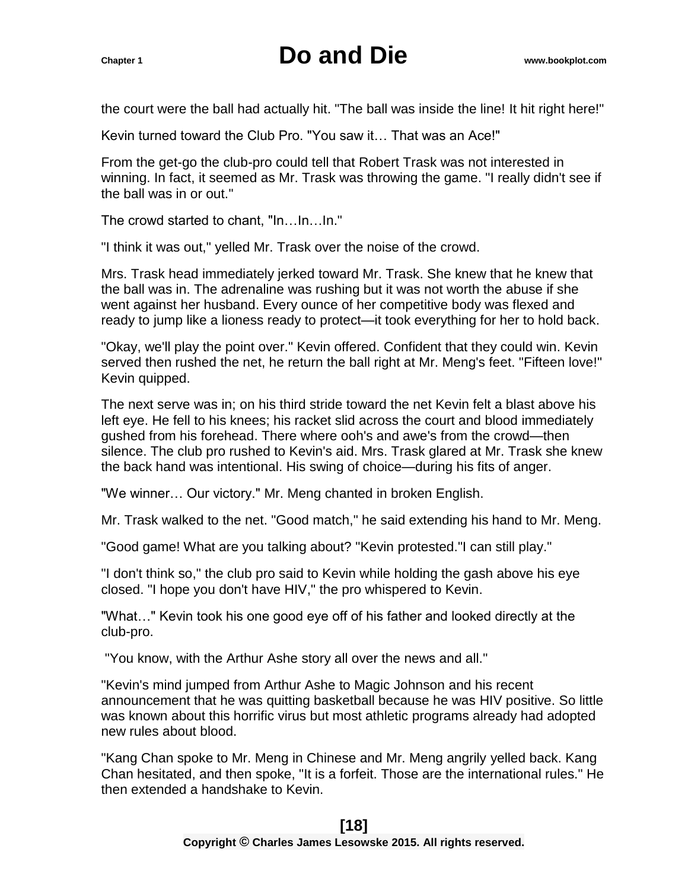the court were the ball had actually hit. "The ball was inside the line! It hit right here!"

Kevin turned toward the Club Pro. "You saw it… That was an Ace!"

From the get-go the club-pro could tell that Robert Trask was not interested in winning. In fact, it seemed as Mr. Trask was throwing the game. "I really didn't see if the ball was in or out."

The crowd started to chant, "In…In…In."

"I think it was out," yelled Mr. Trask over the noise of the crowd.

Mrs. Trask head immediately jerked toward Mr. Trask. She knew that he knew that the ball was in. The adrenaline was rushing but it was not worth the abuse if she went against her husband. Every ounce of her competitive body was flexed and ready to jump like a lioness ready to protect—it took everything for her to hold back.

"Okay, we'll play the point over." Kevin offered. Confident that they could win. Kevin served then rushed the net, he return the ball right at Mr. Meng's feet. "Fifteen love!" Kevin quipped.

The next serve was in; on his third stride toward the net Kevin felt a blast above his left eye. He fell to his knees; his racket slid across the court and blood immediately gushed from his forehead. There where ooh's and awe's from the crowd—then silence. The club pro rushed to Kevin's aid. Mrs. Trask glared at Mr. Trask she knew the back hand was intentional. His swing of choice—during his fits of anger.

"We winner… Our victory." Mr. Meng chanted in broken English.

Mr. Trask walked to the net. "Good match," he said extending his hand to Mr. Meng.

"Good game! What are you talking about? "Kevin protested."I can still play."

"I don't think so," the club pro said to Kevin while holding the gash above his eye closed. "I hope you don't have HIV," the pro whispered to Kevin.

"What…" Kevin took his one good eye off of his father and looked directly at the club-pro.

"You know, with the Arthur Ashe story all over the news and all."

"Kevin's mind jumped from Arthur Ashe to Magic Johnson and his recent announcement that he was quitting basketball because he was HIV positive. So little was known about this horrific virus but most athletic programs already had adopted new rules about blood.

"Kang Chan spoke to Mr. Meng in Chinese and Mr. Meng angrily yelled back. Kang Chan hesitated, and then spoke, "It is a forfeit. Those are the international rules." He then extended a handshake to Kevin.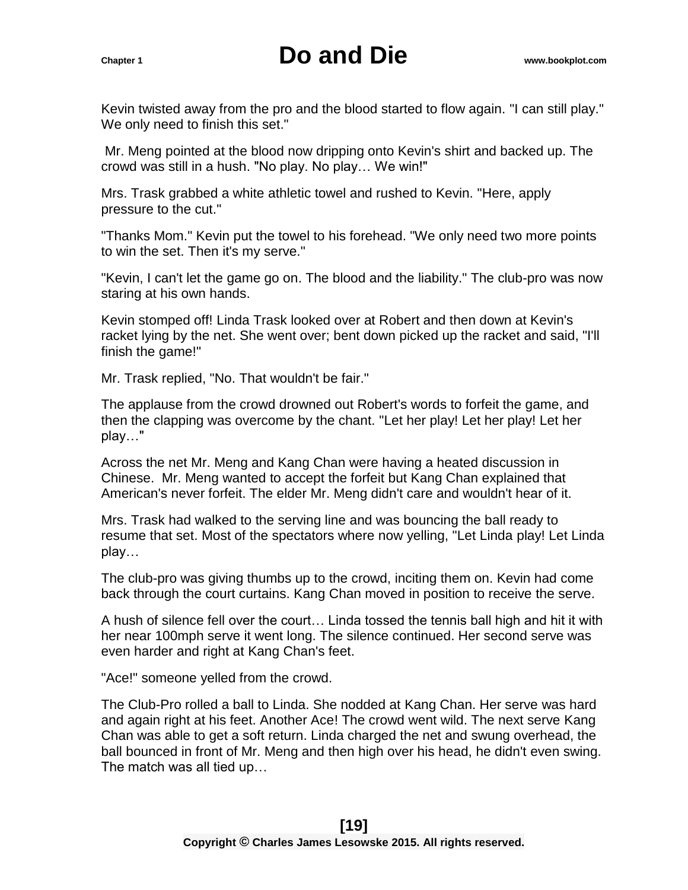Kevin twisted away from the pro and the blood started to flow again. "I can still play." We only need to finish this set."

Mr. Meng pointed at the blood now dripping onto Kevin's shirt and backed up. The crowd was still in a hush. "No play. No play… We win!"

Mrs. Trask grabbed a white athletic towel and rushed to Kevin. "Here, apply pressure to the cut."

"Thanks Mom." Kevin put the towel to his forehead. "We only need two more points to win the set. Then it's my serve."

"Kevin, I can't let the game go on. The blood and the liability." The club-pro was now staring at his own hands.

Kevin stomped off! Linda Trask looked over at Robert and then down at Kevin's racket lying by the net. She went over; bent down picked up the racket and said, "I'll finish the game!"

Mr. Trask replied, "No. That wouldn't be fair."

The applause from the crowd drowned out Robert's words to forfeit the game, and then the clapping was overcome by the chant. "Let her play! Let her play! Let her play…"

Across the net Mr. Meng and Kang Chan were having a heated discussion in Chinese. Mr. Meng wanted to accept the forfeit but Kang Chan explained that American's never forfeit. The elder Mr. Meng didn't care and wouldn't hear of it.

Mrs. Trask had walked to the serving line and was bouncing the ball ready to resume that set. Most of the spectators where now yelling, "Let Linda play! Let Linda play…

The club-pro was giving thumbs up to the crowd, inciting them on. Kevin had come back through the court curtains. Kang Chan moved in position to receive the serve.

A hush of silence fell over the court… Linda tossed the tennis ball high and hit it with her near 100mph serve it went long. The silence continued. Her second serve was even harder and right at Kang Chan's feet.

"Ace!" someone yelled from the crowd.

The Club-Pro rolled a ball to Linda. She nodded at Kang Chan. Her serve was hard and again right at his feet. Another Ace! The crowd went wild. The next serve Kang Chan was able to get a soft return. Linda charged the net and swung overhead, the ball bounced in front of Mr. Meng and then high over his head, he didn't even swing. The match was all tied up…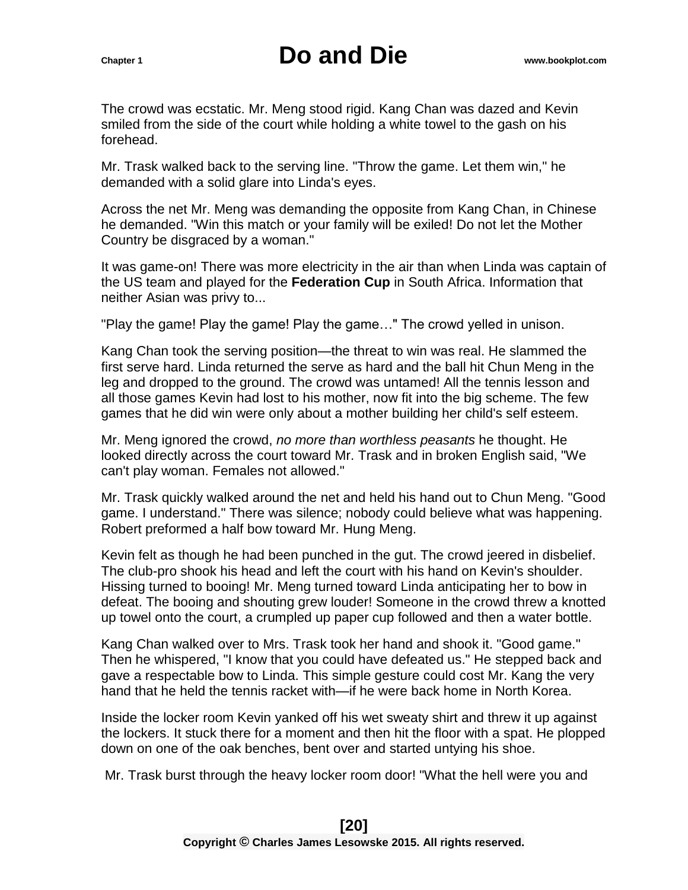The crowd was ecstatic. Mr. Meng stood rigid. Kang Chan was dazed and Kevin smiled from the side of the court while holding a white towel to the gash on his forehead.

Mr. Trask walked back to the serving line. "Throw the game. Let them win," he demanded with a solid glare into Linda's eyes.

Across the net Mr. Meng was demanding the opposite from Kang Chan, in Chinese he demanded. "Win this match or your family will be exiled! Do not let the Mother Country be disgraced by a woman."

It was game-on! There was more electricity in the air than when Linda was captain of the US team and played for the **Federation Cup** in South Africa. Information that neither Asian was privy to...

"Play the game! Play the game! Play the game…" The crowd yelled in unison.

Kang Chan took the serving position—the threat to win was real. He slammed the first serve hard. Linda returned the serve as hard and the ball hit Chun Meng in the leg and dropped to the ground. The crowd was untamed! All the tennis lesson and all those games Kevin had lost to his mother, now fit into the big scheme. The few games that he did win were only about a mother building her child's self esteem.

Mr. Meng ignored the crowd, *no more than worthless peasants* he thought. He looked directly across the court toward Mr. Trask and in broken English said, "We can't play woman. Females not allowed."

Mr. Trask quickly walked around the net and held his hand out to Chun Meng. "Good game. I understand." There was silence; nobody could believe what was happening. Robert preformed a half bow toward Mr. Hung Meng.

Kevin felt as though he had been punched in the gut. The crowd jeered in disbelief. The club-pro shook his head and left the court with his hand on Kevin's shoulder. Hissing turned to booing! Mr. Meng turned toward Linda anticipating her to bow in defeat. The booing and shouting grew louder! Someone in the crowd threw a knotted up towel onto the court, a crumpled up paper cup followed and then a water bottle.

Kang Chan walked over to Mrs. Trask took her hand and shook it. "Good game." Then he whispered, "I know that you could have defeated us." He stepped back and gave a respectable bow to Linda. This simple gesture could cost Mr. Kang the very hand that he held the tennis racket with—if he were back home in North Korea.

Inside the locker room Kevin yanked off his wet sweaty shirt and threw it up against the lockers. It stuck there for a moment and then hit the floor with a spat. He plopped down on one of the oak benches, bent over and started untying his shoe.

Mr. Trask burst through the heavy locker room door! "What the hell were you and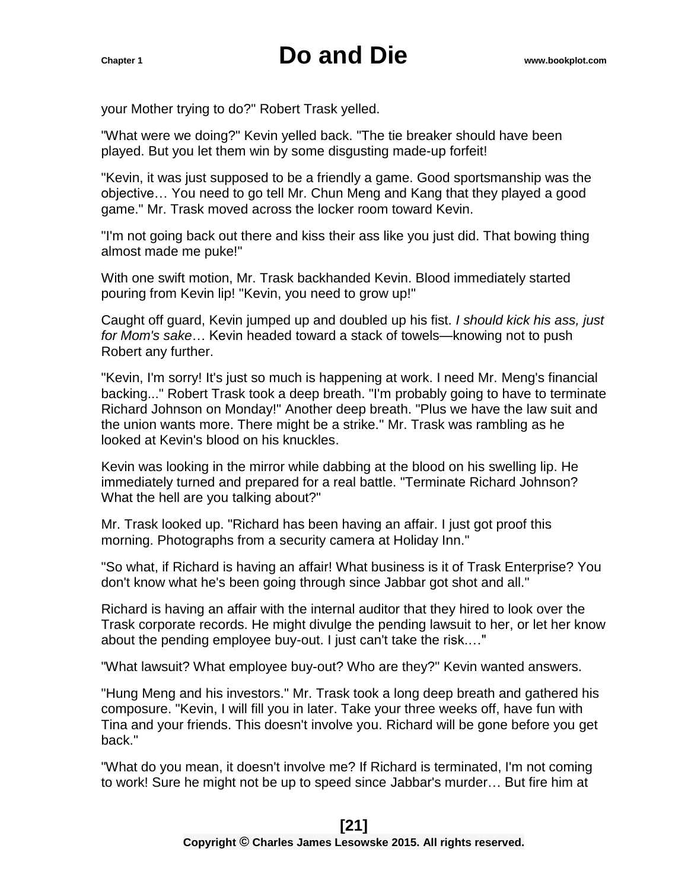your Mother trying to do?" Robert Trask yelled.

"What were we doing?" Kevin yelled back. "The tie breaker should have been played. But you let them win by some disgusting made-up forfeit!

"Kevin, it was just supposed to be a friendly a game. Good sportsmanship was the objective… You need to go tell Mr. Chun Meng and Kang that they played a good game." Mr. Trask moved across the locker room toward Kevin.

"I'm not going back out there and kiss their ass like you just did. That bowing thing almost made me puke!"

With one swift motion, Mr. Trask backhanded Kevin. Blood immediately started pouring from Kevin lip! "Kevin, you need to grow up!"

Caught off guard, Kevin jumped up and doubled up his fist. *I should kick his ass, just for Mom's sake*… Kevin headed toward a stack of towels—knowing not to push Robert any further.

"Kevin, I'm sorry! It's just so much is happening at work. I need Mr. Meng's financial backing..." Robert Trask took a deep breath. "I'm probably going to have to terminate Richard Johnson on Monday!" Another deep breath. "Plus we have the law suit and the union wants more. There might be a strike." Mr. Trask was rambling as he looked at Kevin's blood on his knuckles.

Kevin was looking in the mirror while dabbing at the blood on his swelling lip. He immediately turned and prepared for a real battle. "Terminate Richard Johnson? What the hell are you talking about?"

Mr. Trask looked up. "Richard has been having an affair. I just got proof this morning. Photographs from a security camera at Holiday Inn."

"So what, if Richard is having an affair! What business is it of Trask Enterprise? You don't know what he's been going through since Jabbar got shot and all."

Richard is having an affair with the internal auditor that they hired to look over the Trask corporate records. He might divulge the pending lawsuit to her, or let her know about the pending employee buy-out. I just can't take the risk.…"

"What lawsuit? What employee buy-out? Who are they?" Kevin wanted answers.

"Hung Meng and his investors." Mr. Trask took a long deep breath and gathered his composure. "Kevin, I will fill you in later. Take your three weeks off, have fun with Tina and your friends. This doesn't involve you. Richard will be gone before you get back."

"What do you mean, it doesn't involve me? If Richard is terminated, I'm not coming to work! Sure he might not be up to speed since Jabbar's murder… But fire him at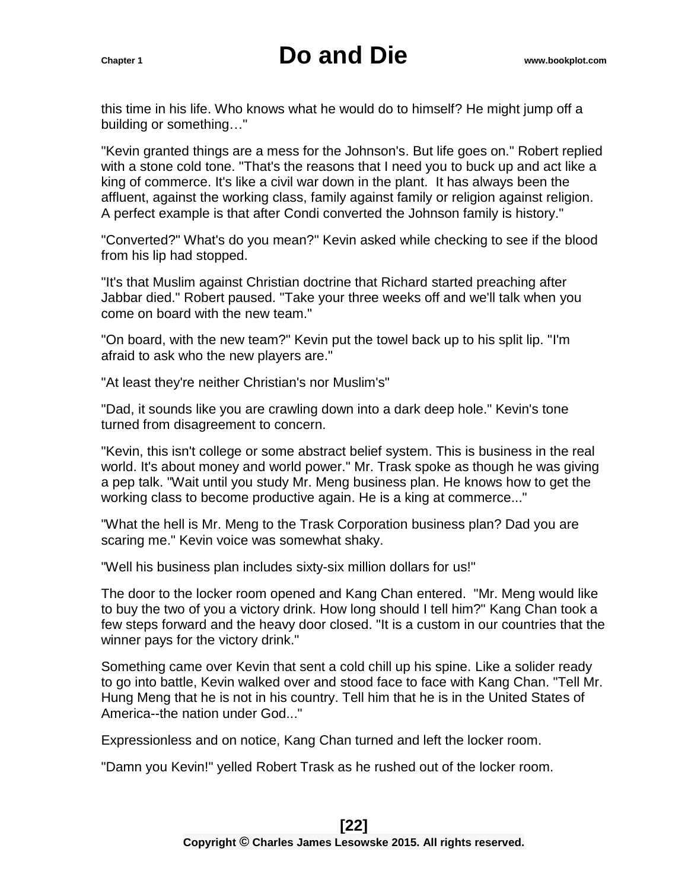this time in his life. Who knows what he would do to himself? He might jump off a building or something…"

"Kevin granted things are a mess for the Johnson's. But life goes on." Robert replied with a stone cold tone. "That's the reasons that I need you to buck up and act like a king of commerce. It's like a civil war down in the plant. It has always been the affluent, against the working class, family against family or religion against religion. A perfect example is that after Condi converted the Johnson family is history."

"Converted?" What's do you mean?" Kevin asked while checking to see if the blood from his lip had stopped.

"It's that Muslim against Christian doctrine that Richard started preaching after Jabbar died." Robert paused. "Take your three weeks off and we'll talk when you come on board with the new team."

"On board, with the new team?" Kevin put the towel back up to his split lip. "I'm afraid to ask who the new players are."

"At least they're neither Christian's nor Muslim's"

"Dad, it sounds like you are crawling down into a dark deep hole." Kevin's tone turned from disagreement to concern.

"Kevin, this isn't college or some abstract belief system. This is business in the real world. It's about money and world power." Mr. Trask spoke as though he was giving a pep talk. "Wait until you study Mr. Meng business plan. He knows how to get the working class to become productive again. He is a king at commerce..."

"What the hell is Mr. Meng to the Trask Corporation business plan? Dad you are scaring me." Kevin voice was somewhat shaky.

"Well his business plan includes sixty-six million dollars for us!"

The door to the locker room opened and Kang Chan entered. "Mr. Meng would like to buy the two of you a victory drink. How long should I tell him?" Kang Chan took a few steps forward and the heavy door closed. "It is a custom in our countries that the winner pays for the victory drink."

Something came over Kevin that sent a cold chill up his spine. Like a solider ready to go into battle, Kevin walked over and stood face to face with Kang Chan. "Tell Mr. Hung Meng that he is not in his country. Tell him that he is in the United States of America--the nation under God..."

Expressionless and on notice, Kang Chan turned and left the locker room.

"Damn you Kevin!" yelled Robert Trask as he rushed out of the locker room.